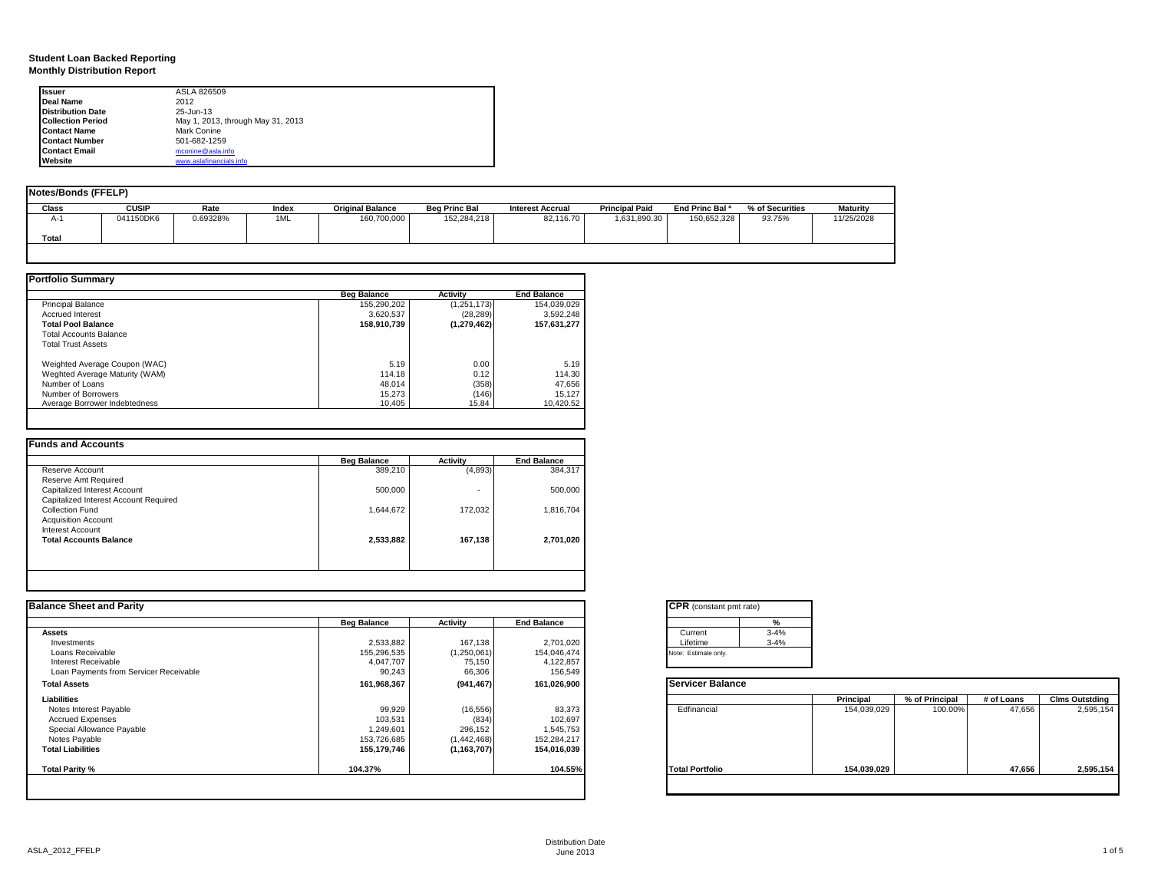### **Student Loan Backed Reporting Monthly Distribution Report**

| <b>Issuer</b>            | ASLA 826509                       |  |
|--------------------------|-----------------------------------|--|
| Deal Name                | 2012                              |  |
| <b>Distribution Date</b> | 25-Jun-13                         |  |
| <b>Collection Period</b> | May 1, 2013, through May 31, 2013 |  |
| <b>Contact Name</b>      | <b>Mark Conine</b>                |  |
| <b>Contact Number</b>    | 501-682-1259                      |  |
| <b>Contact Email</b>     | mconine@asla.info                 |  |
| Website                  | www.aslafinancials.info           |  |

| <b>Notes/Bonds (FFELP)</b> |           |          |       |                         |                      |                         |                       |                            |                 |                 |
|----------------------------|-----------|----------|-------|-------------------------|----------------------|-------------------------|-----------------------|----------------------------|-----------------|-----------------|
| Class                      | CUSIP     | Rate     | Index | <b>Original Balance</b> | <b>Beg Princ Bal</b> | <b>Interest Accrual</b> | <b>Principal Paid</b> | End Princ Bal <sup>a</sup> | % of Securities | <b>Maturity</b> |
| A-1                        | 041150DK6 | 0.69328% | 1ML   | 160,700,000             | 152,284,218          | 82,116.70               | 1,631,890.30          | 150,652,328                | 93.75%          | 11/25/2028      |
| Total                      |           |          |       |                         |                      |                         |                       |                            |                 |                 |
|                            |           |          |       |                         |                      |                         |                       |                            |                 |                 |

|                                | <b>Beg Balance</b> | <b>Activity</b> | <b>End Balance</b> |
|--------------------------------|--------------------|-----------------|--------------------|
| <b>Principal Balance</b>       | 155.290.202        | (1, 251, 173)   | 154,039,029        |
| <b>Accrued Interest</b>        | 3.620.537          | (28, 289)       | 3,592,248          |
| <b>Total Pool Balance</b>      | 158.910.739        | (1, 279, 462)   | 157.631.277        |
| Total Accounts Balance         |                    |                 |                    |
| <b>Total Trust Assets</b>      |                    |                 |                    |
| Weighted Average Coupon (WAC)  | 5.19               | 0.00            | 5.19               |
| Weghted Average Maturity (WAM) | 114.18             | 0.12            | 114.30             |
| Number of Loans                | 48.014             | (358)           | 47,656             |
| Number of Borrowers            | 15.273             | (146)           | 15,127             |
| Average Borrower Indebtedness  | 10.405             | 15.84           | 10.420.52          |

| 389,210   | (4,893) |           |
|-----------|---------|-----------|
|           |         | 384,317   |
|           |         |           |
| 500.000   | $\sim$  | 500,000   |
|           |         |           |
| 1,644,672 | 172.032 | 1,816,704 |
|           |         |           |
|           |         |           |
| 2,533,882 | 167,138 | 2,701,020 |
|           |         |           |
|           |         |           |
|           |         |           |

| <b>Balance Sheet and Parity</b>        |                    |                 |                    | <b>CPR</b> (constant pmt rate) |             |                |            |                       |
|----------------------------------------|--------------------|-----------------|--------------------|--------------------------------|-------------|----------------|------------|-----------------------|
|                                        | <b>Beg Balance</b> | <b>Activity</b> | <b>End Balance</b> | $\mathbf{0}$                   |             |                |            |                       |
| <b>Assets</b>                          |                    |                 |                    | Current<br>$3 - 4%$            |             |                |            |                       |
| Investments                            | 2,533,882          | 167,138         | 2,701,020          | Lifetime<br>$3 - 4%$           |             |                |            |                       |
| Loans Receivable                       | 155,296,535        | (1,250,061)     | 154,046,474        | Note: Estimate only.           |             |                |            |                       |
| Interest Receivable                    | 4,047,707          | 75,150          | 4,122,857          |                                |             |                |            |                       |
| Loan Payments from Servicer Receivable | 90,243             | 66,306          | 156,549            |                                |             |                |            |                       |
| <b>Total Assets</b>                    | 161,968,367        | (941, 467)      | 161,026,900        | <b>Servicer Balance</b>        |             |                |            |                       |
| Liabilities                            |                    |                 |                    |                                | Principal   | % of Principal | # of Loans | <b>Clms Outstding</b> |
| Notes Interest Payable                 | 99,929             | (16, 556)       | 83,373             | Edfinancial                    | 154,039,029 | 100.00%        | 47,656     | 2,595,154             |
| <b>Accrued Expenses</b>                | 103,531            | (834)           | 102,697            |                                |             |                |            |                       |
| Special Allowance Payable              | 1,249,601          | 296,152         | 1,545,753          |                                |             |                |            |                       |
| Notes Payable                          | 153,726,685        | (1,442,468)     | 152,284,217        |                                |             |                |            |                       |
| <b>Total Liabilities</b>               | 155,179,746        | (1, 163, 707)   | 154,016,039        |                                |             |                |            |                       |
| Total Parity %                         | 104.37%            |                 | 104.55%            | <b>Total Portfolio</b>         | 154,039,029 |                | 47,656     | 2,595,154             |

|          | ℀        |  |
|----------|----------|--|
| Current  | $3 - 4%$ |  |
| Lifetime | $3 - 4%$ |  |

|                        | Principal   | % of Principal | # of Loans | <b>Clms Outstding</b> |
|------------------------|-------------|----------------|------------|-----------------------|
| Edfinancial            | 154,039,029 | 100.00%        | 47,656     | 2,595,154             |
| <b>Total Portfolio</b> | 154,039,029 |                | 47,656     | 2,595,154             |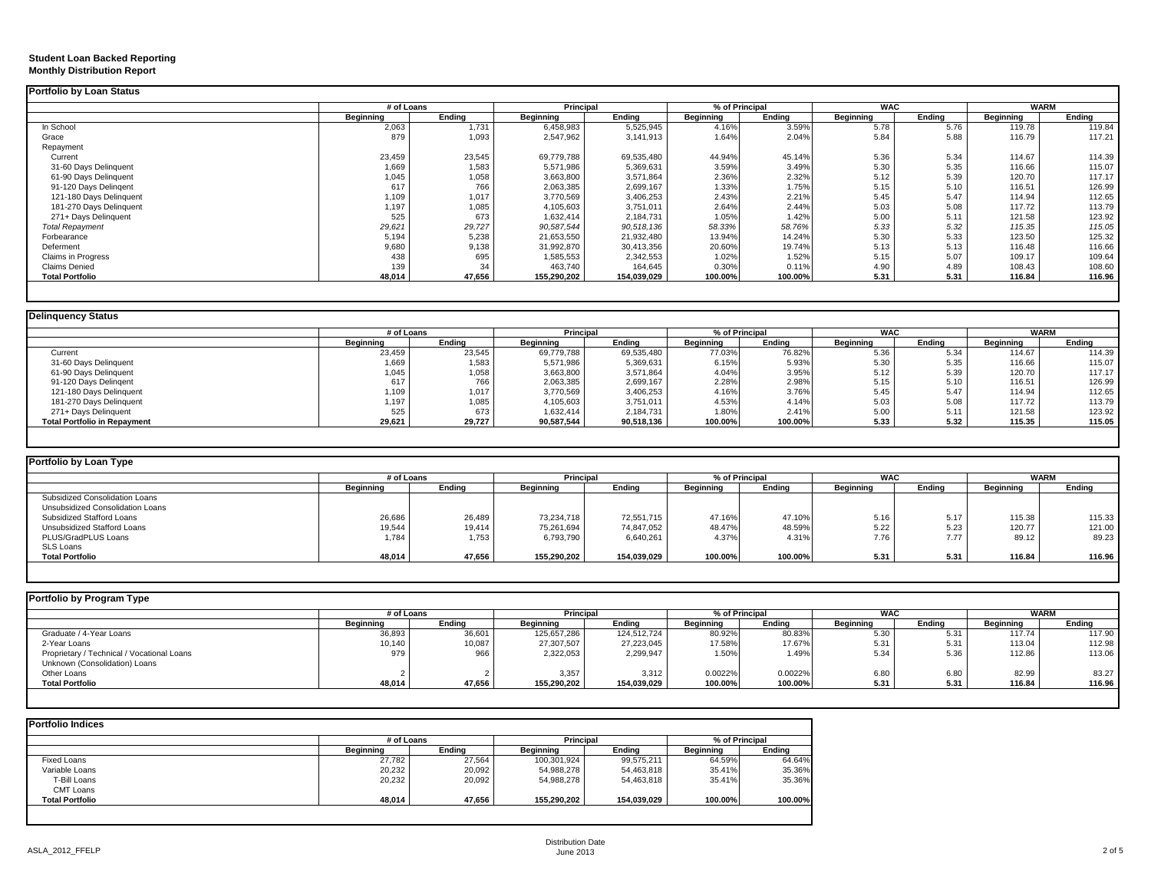#### **Student Loan Backed Reporting Monthly Distribution Report**

|                           | # of Loans |        | Principal   |             | % of Principal   |         | <b>WAC</b> |        | <b>WARM</b> |        |
|---------------------------|------------|--------|-------------|-------------|------------------|---------|------------|--------|-------------|--------|
|                           | Beginning  | Ending | Beginning   | Ending      | <b>Beginning</b> | Ending  | Beginning  | Endina | Beginning   | Endina |
| In School                 | 2,063      | 1,731  | 6,458,983   | 5,525,945   | 4.16%            | 3.59%   | 5.78       | 5.76   | 119.78      | 119.84 |
| Grace                     | 879        | 1,093  | 2,547,962   | 3,141,913   | 1.64%            | 2.04%   | 5.84       | 5.88   | 116.79      | 117.21 |
| Repayment                 |            |        |             |             |                  |         |            |        |             |        |
| Current                   | 23,459     | 23,545 | 69.779.788  | 69,535,480  | 44.94%           | 45.14%  | 5.36       | 5.34   | 114.67      | 114.39 |
| 31-60 Days Delinquent     | 1,669      | 1,583  | 5,571,986   | 5,369,631   | 3.59%            | 3.49%   | 5.30       | 5.35   | 116.66      | 115.07 |
| 61-90 Days Delinquent     | 1,045      | 1,058  | 3,663,800   | 3,571,864   | 2.36%            | 2.32%   | 5.12       | 5.39   | 120.70      | 117.17 |
| 91-120 Days Delingent     | 617        | 766    | 2,063,385   | 2,699,167   | 1.33%            | 1.75%   | 5.15       | 5.10   | 116.51      | 126.99 |
| 121-180 Days Delinguent   | 1,109      | 1,017  | 3,770,569   | 3,406,253   | 2.43%            | 2.21%   | 5.45       | 5.47   | 114.94      | 112.65 |
| 181-270 Days Delinquent   | 1,197      | 1,085  | 4,105,603   | 3,751,011   | 2.64%            | 2.44%   | 5.03       | 5.08   | 117.72      | 113.79 |
| 271+ Days Delinguent      | 525        | 673    | 1,632,414   | 2,184,731   | 1.05%            | 1.42%   | 5.00       | 5.11   | 121.58      | 123.92 |
| <b>Total Repayment</b>    | 29,621     | 29,727 | 90,587,544  | 90,518,136  | 58.33%           | 58.76%  | 5.33       | 5.32   | 115.35      | 115.05 |
| Forbearance               | 5,194      | 5,238  | 21,653,550  | 21,932,480  | 13.94%           | 14.24%  | 5.30       | 5.33   | 123.50      | 125.32 |
| Deferment                 | 9,680      | 9,138  | 31,992,870  | 30,413,356  | 20.60%           | 19.74%  | 5.13       | 5.13   | 116.48      | 116.66 |
| <b>Claims in Progress</b> | 438        | 695    | 1,585,553   | 2,342,553   | 1.02%            | 1.52%   | 5.15       | 5.07   | 109.17      | 109.64 |
| <b>Claims Denied</b>      | 139        | 34     | 463,740     | 164,645     | 0.30%            | 0.11%   | 4.90       | 4.89   | 108.43      | 108.60 |
| <b>Total Portfolio</b>    | 48,014     | 47,656 | 155.290.202 | 154,039,029 | 100.00%          | 100.00% | 5.31       | 5.31   | 116.84      | 116.96 |

|                                     | # of Loans |        | Principal  |            | % of Principal |         | <b>WAC</b>       |        | <b>WARM</b>      |        |
|-------------------------------------|------------|--------|------------|------------|----------------|---------|------------------|--------|------------------|--------|
|                                     | Beainnina  | Endina | Beainnina  | Endina     | Beainnina      | Endina  | <b>Beainning</b> | Endina | <b>Beginning</b> | Endina |
| Current                             | 23,459     | 23,545 | 69,779,788 | 69,535,480 | 77.03%         | 76.82%  | 5.36             | 5.34   | 114.67           | 114.39 |
| 31-60 Days Delinquent               | 1,669      | 1,583  | 5,571,986  | 5,369,631  | 6.15%          | 5.93%   | 5.30             | 5.35   | 116.66           | 115.07 |
| 61-90 Days Delinquent               | 1,045      | 1,058  | 3,663,800  | 3,571,864  | 4.04%          | 3.95%   | 5.12             | 5.39   | 120.70           | 117.17 |
| 91-120 Days Delingent               | 617        | 766    | 2,063,385  | 2,699,167  | 2.28%          | 2.98%   | 5.15             | 5.10   | 116.51           | 126.99 |
| 121-180 Days Delinquent             | 1,109      | 1,017  | 3,770,569  | 3,406,253  | 4.16%          | 3.76%   | 5.45             | 5.47   | 114.94           | 112.65 |
| 181-270 Days Delinquent             | 1,197      | 1,085  | 4,105,603  | 3,751,011  | 4.53%          | 4.14%   | 5.03             | 5.08   | 117.72           | 113.79 |
| 271+ Days Delinquent                | 525        | 673    | 1,632,414  | 2,184,731  | 1.80%          | 2.41%   | 5.00             | 5.11   | 121.58           | 123.92 |
| <b>Total Portfolio in Repayment</b> | 29,621     | 29,727 | 90,587,544 | 90,518,136 | 100.00%        | 100.00% | 5.33             | 5.32   | 115.35           | 115.05 |

| Portfolio by Loan Type           |            |        |             |             |           |                |            |        |                  |             |
|----------------------------------|------------|--------|-------------|-------------|-----------|----------------|------------|--------|------------------|-------------|
|                                  | # of Loans |        | Principal   |             |           | % of Principal | <b>WAC</b> |        |                  | <b>WARM</b> |
|                                  | Beginning  | Endina | Beginning   | Endina      | Beginning | Ending         | Beginning  | Endina | <b>Beainning</b> | Ending      |
| Subsidized Consolidation Loans   |            |        |             |             |           |                |            |        |                  |             |
| Unsubsidized Consolidation Loans |            |        |             |             |           |                |            |        |                  |             |
| Subsidized Stafford Loans        | 26,686     | 26,489 | 73.234.718  | 72.551.715  | 47.16%    | 47.10%         | 5.16       | 5.17   | 115.38           | 115.33      |
| Unsubsidized Stafford Loans      | 19,544     | 19,414 | 75,261,694  | 74.847.052  | 48.47%    | 48.59%         | 5.22       | 5.23   | 120.77           | 121.00      |
| PLUS/GradPLUS Loans              | 1.784      | 1,753  | 6,793,790   | 6,640,261   | 4.37%     | 4.31%          | 7.76       | 7.77   | 89.12            | 89.23       |
| SLS Loans                        |            |        |             |             |           |                |            |        |                  |             |
| <b>Total Portfolio</b>           | 48,014     | 47,656 | 155,290,202 | 154,039,029 | 100.00%   | 100.00%        | 5.31       | 5.31   | 116.84           | 116.96      |
|                                  |            |        |             |             |           |                |            |        |                  |             |

| Portfolio by Program Type                  |            |        |             |             |                              |         |                  |             |           |        |
|--------------------------------------------|------------|--------|-------------|-------------|------------------------------|---------|------------------|-------------|-----------|--------|
|                                            | # of Loans |        | Principal   |             | <b>WAC</b><br>% of Principal |         |                  | <b>WARM</b> |           |        |
|                                            | Beainnina  | Endina | Beginning   | Endina      | Beainnina                    | Endina  | <b>Beainning</b> | Endina      | Beainnina | Endina |
| Graduate / 4-Year Loans                    | 36,893     | 36,601 | 125,657,286 | 124,512,724 | 80.92%                       | 80.83%  | 5.30             | 5.31        | 117.74    | 117.90 |
| 2-Year Loans                               | 10,140     | 10,087 | 27,307,507  | 27.223.045  | 17.58%                       | 17.67%  | 5.31             | 5.31        | 113.04    | 112.98 |
| Proprietary / Technical / Vocational Loans | 979        | 966    | 2,322,053   | 2,299,947   | 1.50%                        | 1.49%   | 5.34             | 5.36        | 112.86    | 113.06 |
| Unknown (Consolidation) Loans              |            |        |             |             |                              |         |                  |             |           |        |
| Other Loans                                |            |        | 3,357       | 3,312       | 0.0022%                      | 0.0022% | 6.80             | 6.8C        | 82.99     | 83.27  |
| <b>Total Portfolio</b>                     | 48,014     | 47,656 | 155,290,202 | 154,039,029 | 100.00%                      | 100.00% | 5.31             | 5.31        | 116.84    | 116.96 |
|                                            |            |        |             |             |                              |         |                  |             |           |        |

|                        | # of Loans |        | Principal   |             | % of Principal   |         |  |
|------------------------|------------|--------|-------------|-------------|------------------|---------|--|
|                        | Beginning  | Endina | Beginning   | Endina      | <b>Beginning</b> | Endina  |  |
| <b>Fixed Loans</b>     | 27.782     | 27,564 | 100,301,924 | 99,575,211  | 64.59%           | 64.64%  |  |
| Variable Loans         | 20,232     | 20,092 | 54,988,278  | 54,463,818  | 35.41%           | 35.36%  |  |
| T-Bill Loans           | 20,232     | 20,092 | 54,988,278  | 54,463,818  | 35.41%           | 35.36%  |  |
| CMT Loans              |            |        |             |             |                  |         |  |
| <b>Total Portfolio</b> | 48,014     | 47,656 | 155,290,202 | 154,039,029 | 100.00%          | 100.00% |  |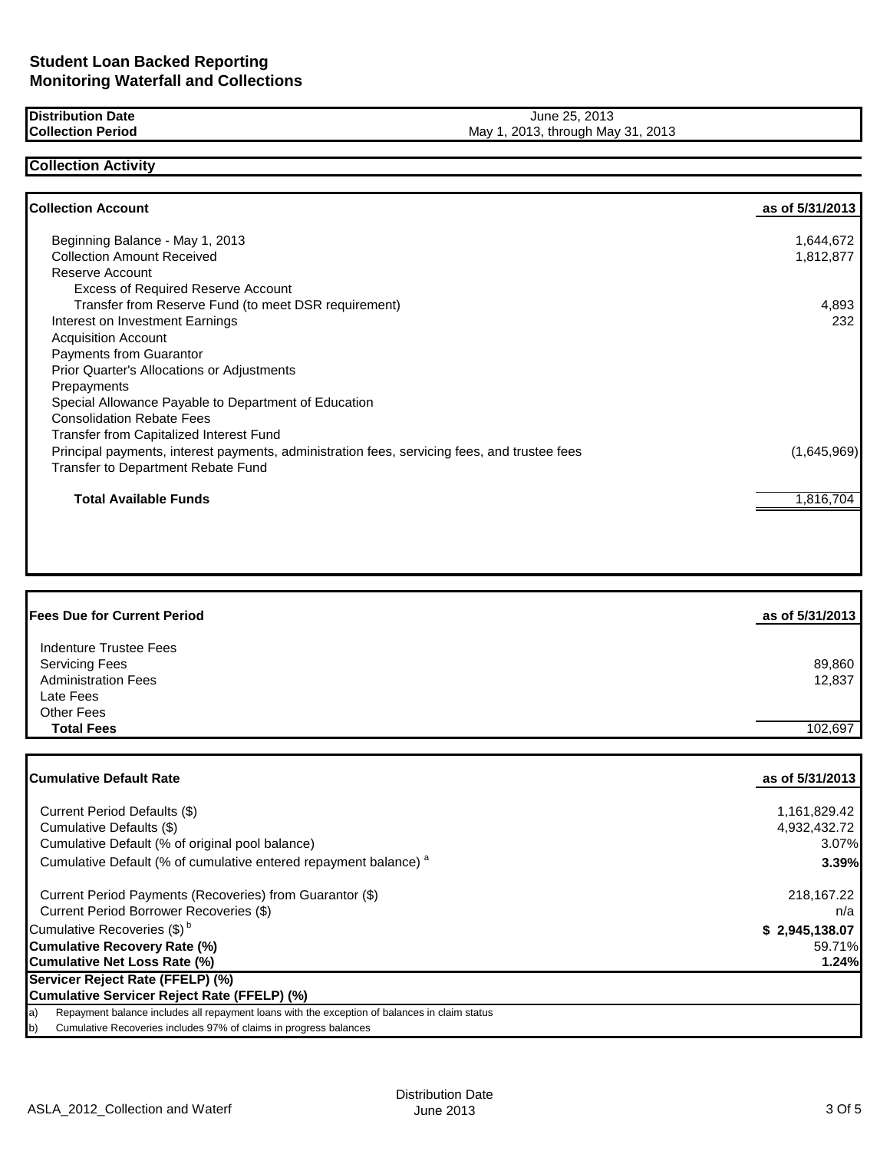**Distribution Date Collection Period**

## June 25, 2013 May 1, 2013, through May 31, 2013

## **Collection Activity**

| <b>Collection Account</b>                                                                    | as of 5/31/2013 |
|----------------------------------------------------------------------------------------------|-----------------|
| Beginning Balance - May 1, 2013                                                              | 1,644,672       |
| <b>Collection Amount Received</b>                                                            | 1,812,877       |
| Reserve Account                                                                              |                 |
| <b>Excess of Required Reserve Account</b>                                                    |                 |
| Transfer from Reserve Fund (to meet DSR requirement)                                         | 4,893           |
| Interest on Investment Earnings                                                              | 232             |
| <b>Acquisition Account</b>                                                                   |                 |
| <b>Payments from Guarantor</b>                                                               |                 |
| Prior Quarter's Allocations or Adjustments                                                   |                 |
| Prepayments                                                                                  |                 |
| Special Allowance Payable to Department of Education                                         |                 |
| <b>Consolidation Rebate Fees</b>                                                             |                 |
| Transfer from Capitalized Interest Fund                                                      |                 |
| Principal payments, interest payments, administration fees, servicing fees, and trustee fees | (1,645,969)     |
| Transfer to Department Rebate Fund                                                           |                 |
| <b>Total Available Funds</b>                                                                 | 1,816,704       |

| <b>Fees Due for Current Period</b>                                                                              | as of 5/31/2013  |
|-----------------------------------------------------------------------------------------------------------------|------------------|
| Indenture Trustee Fees<br><b>Servicing Fees</b><br><b>Administration Fees</b><br>Late Fees<br><b>Other Fees</b> | 89,860<br>12,837 |
| <b>Total Fees</b>                                                                                               | 102.697          |

| <b>Cumulative Default Rate</b>                                                                      | as of 5/31/2013 |
|-----------------------------------------------------------------------------------------------------|-----------------|
| Current Period Defaults (\$)                                                                        | 1,161,829.42    |
| Cumulative Defaults (\$)                                                                            | 4,932,432.72    |
| Cumulative Default (% of original pool balance)                                                     | 3.07%           |
| Cumulative Default (% of cumulative entered repayment balance) <sup>a</sup>                         | 3.39%           |
| Current Period Payments (Recoveries) from Guarantor (\$)                                            | 218,167.22      |
| Current Period Borrower Recoveries (\$)                                                             | n/a             |
| Cumulative Recoveries (\$) <sup>b</sup>                                                             | \$2,945,138.07  |
| <b>Cumulative Recovery Rate (%)</b>                                                                 | 59.71%          |
| <b>Cumulative Net Loss Rate (%)</b>                                                                 | 1.24%           |
| Servicer Reject Rate (FFELP) (%)                                                                    |                 |
| Cumulative Servicer Reject Rate (FFELP) (%)                                                         |                 |
| Repayment balance includes all repayment loans with the exception of balances in claim status<br>a) |                 |
| Cumulative Recoveries includes 97% of claims in progress balances<br>b)                             |                 |
|                                                                                                     |                 |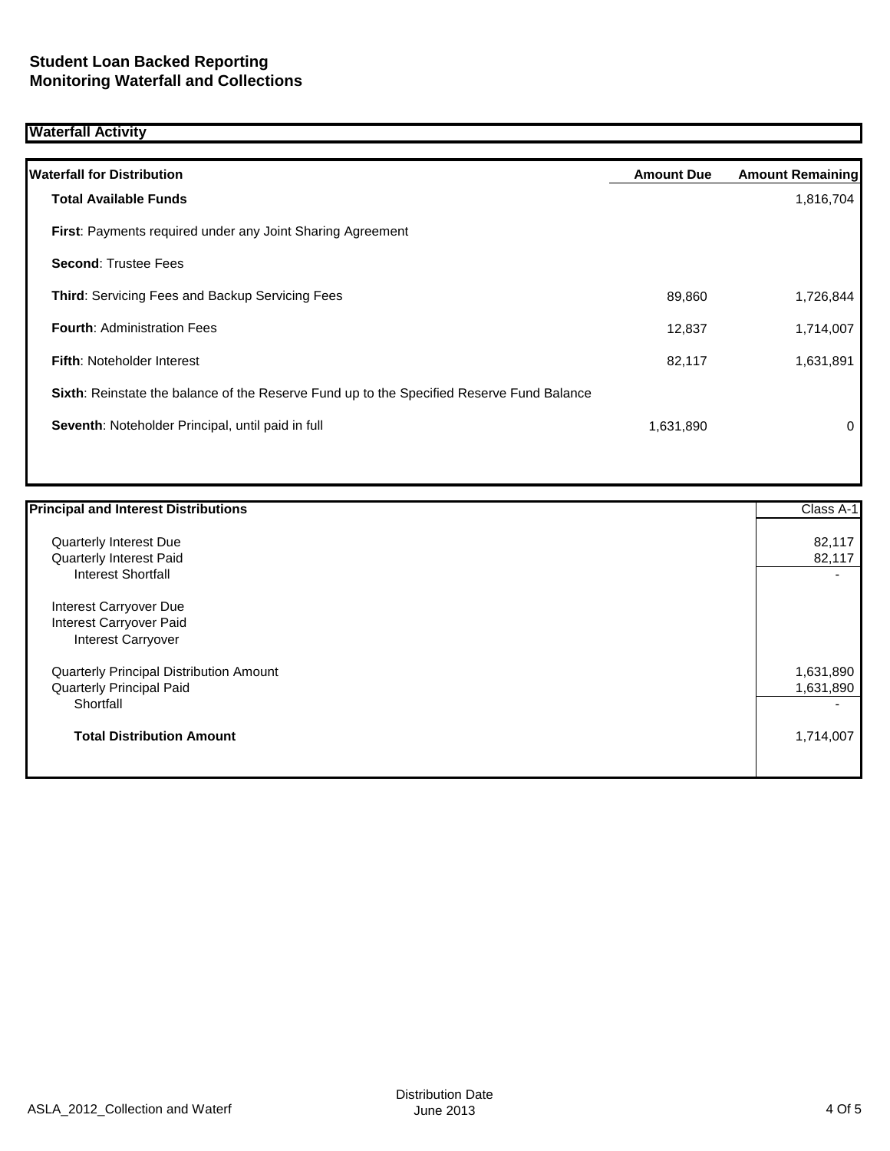# **Waterfall Activity**

| <b>Waterfall for Distribution</b>                                                         | <b>Amount Due</b> | <b>Amount Remaining</b> |
|-------------------------------------------------------------------------------------------|-------------------|-------------------------|
| <b>Total Available Funds</b>                                                              |                   | 1,816,704               |
| <b>First:</b> Payments required under any Joint Sharing Agreement                         |                   |                         |
| <b>Second: Trustee Fees</b>                                                               |                   |                         |
| <b>Third: Servicing Fees and Backup Servicing Fees</b>                                    | 89,860            | 1,726,844               |
| <b>Fourth: Administration Fees</b>                                                        | 12,837            | 1,714,007               |
| <b>Fifth: Noteholder Interest</b>                                                         | 82,117            | 1,631,891               |
| Sixth: Reinstate the balance of the Reserve Fund up to the Specified Reserve Fund Balance |                   |                         |
| Seventh: Noteholder Principal, until paid in full                                         | 1,631,890         | 0                       |
|                                                                                           |                   |                         |

| <b>Principal and Interest Distributions</b> | Class A-1 |
|---------------------------------------------|-----------|
| Quarterly Interest Due                      | 82,117    |
| Quarterly Interest Paid                     | 82,117    |
| <b>Interest Shortfall</b>                   |           |
| Interest Carryover Due                      |           |
| Interest Carryover Paid                     |           |
| <b>Interest Carryover</b>                   |           |
| Quarterly Principal Distribution Amount     | 1,631,890 |
| <b>Quarterly Principal Paid</b>             | 1,631,890 |
| Shortfall                                   |           |
| <b>Total Distribution Amount</b>            | 1,714,007 |
|                                             |           |